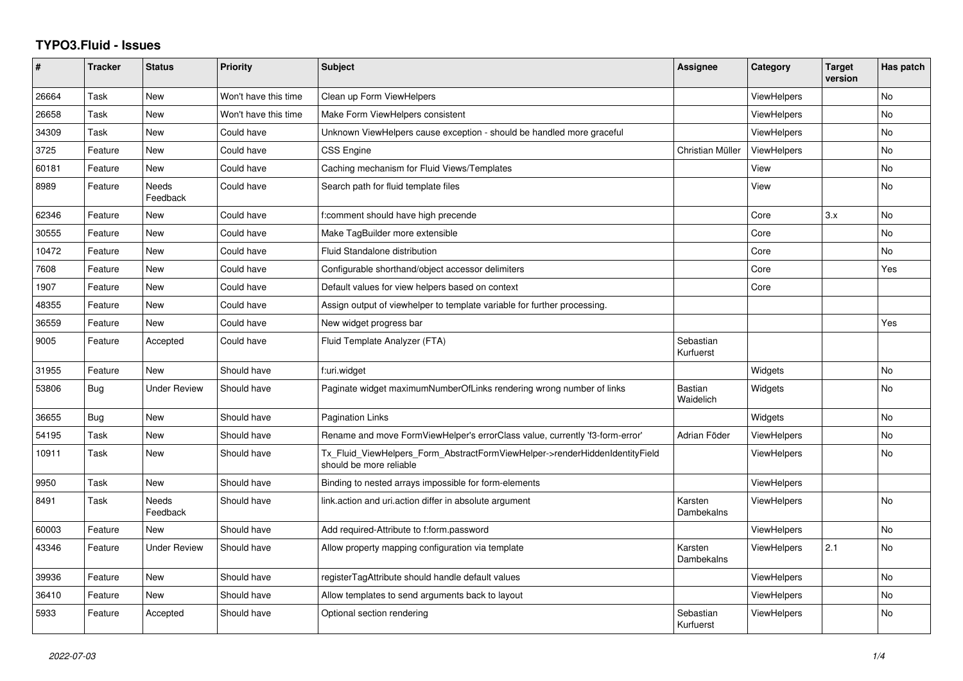## **TYPO3.Fluid - Issues**

| #     | <b>Tracker</b> | <b>Status</b>            | <b>Priority</b>      | Subject                                                                                                | <b>Assignee</b>        | Category           | <b>Target</b><br>version | Has patch |
|-------|----------------|--------------------------|----------------------|--------------------------------------------------------------------------------------------------------|------------------------|--------------------|--------------------------|-----------|
| 26664 | Task           | <b>New</b>               | Won't have this time | Clean up Form ViewHelpers                                                                              |                        | <b>ViewHelpers</b> |                          | <b>No</b> |
| 26658 | Task           | New                      | Won't have this time | Make Form ViewHelpers consistent                                                                       |                        | <b>ViewHelpers</b> |                          | No.       |
| 34309 | Task           | New                      | Could have           | Unknown ViewHelpers cause exception - should be handled more graceful                                  |                        | <b>ViewHelpers</b> |                          | No        |
| 3725  | Feature        | New                      | Could have           | <b>CSS Engine</b>                                                                                      | Christian Müller       | ViewHelpers        |                          | No        |
| 60181 | Feature        | New                      | Could have           | Caching mechanism for Fluid Views/Templates                                                            |                        | View               |                          | No        |
| 8989  | Feature        | <b>Needs</b><br>Feedback | Could have           | Search path for fluid template files                                                                   |                        | View               |                          | No        |
| 62346 | Feature        | New                      | Could have           | f:comment should have high precende                                                                    |                        | Core               | 3.x                      | No        |
| 30555 | Feature        | <b>New</b>               | Could have           | Make TagBuilder more extensible                                                                        |                        | Core               |                          | <b>No</b> |
| 10472 | Feature        | New                      | Could have           | <b>Fluid Standalone distribution</b>                                                                   |                        | Core               |                          | No        |
| 7608  | Feature        | <b>New</b>               | Could have           | Configurable shorthand/object accessor delimiters                                                      |                        | Core               |                          | Yes       |
| 1907  | Feature        | New                      | Could have           | Default values for view helpers based on context                                                       |                        | Core               |                          |           |
| 48355 | Feature        | New                      | Could have           | Assign output of viewhelper to template variable for further processing.                               |                        |                    |                          |           |
| 36559 | Feature        | <b>New</b>               | Could have           | New widget progress bar                                                                                |                        |                    |                          | Yes       |
| 9005  | Feature        | Accepted                 | Could have           | Fluid Template Analyzer (FTA)                                                                          | Sebastian<br>Kurfuerst |                    |                          |           |
| 31955 | Feature        | <b>New</b>               | Should have          | f:uri.widget                                                                                           |                        | Widgets            |                          | <b>No</b> |
| 53806 | <b>Bug</b>     | <b>Under Review</b>      | Should have          | Paginate widget maximumNumberOfLinks rendering wrong number of links                                   | Bastian<br>Waidelich   | Widgets            |                          | <b>No</b> |
| 36655 | Bug            | New                      | Should have          | <b>Pagination Links</b>                                                                                |                        | Widgets            |                          | No        |
| 54195 | Task           | New                      | Should have          | Rename and move FormViewHelper's errorClass value, currently 'f3-form-error'                           | Adrian Föder           | <b>ViewHelpers</b> |                          | No        |
| 10911 | Task           | New                      | Should have          | Tx_Fluid_ViewHelpers_Form_AbstractFormViewHelper->renderHiddenIdentityField<br>should be more reliable |                        | <b>ViewHelpers</b> |                          | No        |
| 9950  | Task           | <b>New</b>               | Should have          | Binding to nested arrays impossible for form-elements                                                  |                        | <b>ViewHelpers</b> |                          |           |
| 8491  | Task           | Needs<br>Feedback        | Should have          | link action and uri action differ in absolute argument                                                 | Karsten<br>Dambekalns  | ViewHelpers        |                          | <b>No</b> |
| 60003 | Feature        | <b>New</b>               | Should have          | Add required-Attribute to f:form.password                                                              |                        | <b>ViewHelpers</b> |                          | No        |
| 43346 | Feature        | <b>Under Review</b>      | Should have          | Allow property mapping configuration via template                                                      | Karsten<br>Dambekalns  | ViewHelpers        | 2.1                      | <b>No</b> |
| 39936 | Feature        | <b>New</b>               | Should have          | registerTagAttribute should handle default values                                                      |                        | <b>ViewHelpers</b> |                          | <b>No</b> |
| 36410 | Feature        | <b>New</b>               | Should have          | Allow templates to send arguments back to layout                                                       |                        | <b>ViewHelpers</b> |                          | No        |
| 5933  | Feature        | Accepted                 | Should have          | Optional section rendering                                                                             | Sebastian<br>Kurfuerst | <b>ViewHelpers</b> |                          | No        |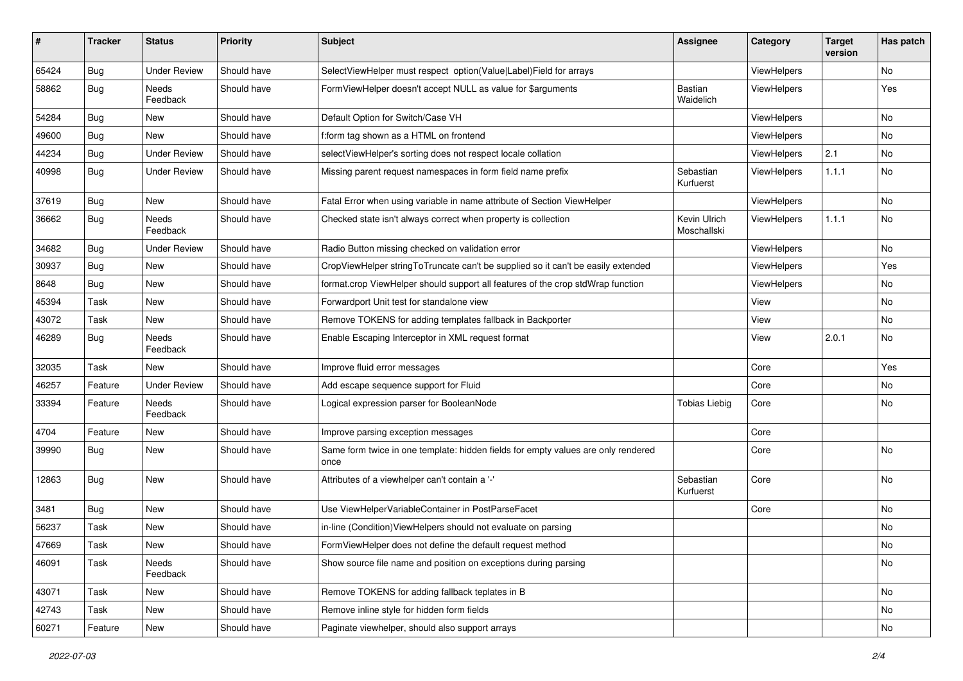| $\sharp$ | <b>Tracker</b> | <b>Status</b>       | <b>Priority</b> | <b>Subject</b>                                                                            | <b>Assignee</b>             | Category    | <b>Target</b><br>version | Has patch |
|----------|----------------|---------------------|-----------------|-------------------------------------------------------------------------------------------|-----------------------------|-------------|--------------------------|-----------|
| 65424    | Bug            | <b>Under Review</b> | Should have     | SelectViewHelper must respect option(Value Label)Field for arrays                         |                             | ViewHelpers |                          | No        |
| 58862    | Bug            | Needs<br>Feedback   | Should have     | FormViewHelper doesn't accept NULL as value for \$arguments                               | Bastian<br>Waidelich        | ViewHelpers |                          | Yes       |
| 54284    | Bug            | New                 | Should have     | Default Option for Switch/Case VH                                                         |                             | ViewHelpers |                          | No        |
| 49600    | Bug            | New                 | Should have     | f:form tag shown as a HTML on frontend                                                    |                             | ViewHelpers |                          | No        |
| 44234    | Bug            | <b>Under Review</b> | Should have     | selectViewHelper's sorting does not respect locale collation                              |                             | ViewHelpers | 2.1                      | No        |
| 40998    | Bug            | <b>Under Review</b> | Should have     | Missing parent request namespaces in form field name prefix                               | Sebastian<br>Kurfuerst      | ViewHelpers | 1.1.1                    | No        |
| 37619    | Bug            | New                 | Should have     | Fatal Error when using variable in name attribute of Section ViewHelper                   |                             | ViewHelpers |                          | <b>No</b> |
| 36662    | Bug            | Needs<br>Feedback   | Should have     | Checked state isn't always correct when property is collection                            | Kevin Ulrich<br>Moschallski | ViewHelpers | 1.1.1                    | No        |
| 34682    | Bug            | <b>Under Review</b> | Should have     | Radio Button missing checked on validation error                                          |                             | ViewHelpers |                          | No        |
| 30937    | Bug            | New                 | Should have     | CropViewHelper stringToTruncate can't be supplied so it can't be easily extended          |                             | ViewHelpers |                          | Yes       |
| 8648     | Bug            | New                 | Should have     | format.crop ViewHelper should support all features of the crop stdWrap function           |                             | ViewHelpers |                          | No        |
| 45394    | Task           | New                 | Should have     | Forwardport Unit test for standalone view                                                 |                             | View        |                          | No        |
| 43072    | Task           | New                 | Should have     | Remove TOKENS for adding templates fallback in Backporter                                 |                             | View        |                          | No        |
| 46289    | Bug            | Needs<br>Feedback   | Should have     | Enable Escaping Interceptor in XML request format                                         |                             | View        | 2.0.1                    | No        |
| 32035    | Task           | New                 | Should have     | Improve fluid error messages                                                              |                             | Core        |                          | Yes       |
| 46257    | Feature        | <b>Under Review</b> | Should have     | Add escape sequence support for Fluid                                                     |                             | Core        |                          | No        |
| 33394    | Feature        | Needs<br>Feedback   | Should have     | Logical expression parser for BooleanNode                                                 | <b>Tobias Liebig</b>        | Core        |                          | No        |
| 4704     | Feature        | New                 | Should have     | Improve parsing exception messages                                                        |                             | Core        |                          |           |
| 39990    | Bug            | New                 | Should have     | Same form twice in one template: hidden fields for empty values are only rendered<br>once |                             | Core        |                          | <b>No</b> |
| 12863    | Bug            | New                 | Should have     | Attributes of a viewhelper can't contain a '-'                                            | Sebastian<br>Kurfuerst      | Core        |                          | No        |
| 3481     | Bug            | New                 | Should have     | Use ViewHelperVariableContainer in PostParseFacet                                         |                             | Core        |                          | No        |
| 56237    | Task           | New                 | Should have     | in-line (Condition) View Helpers should not evaluate on parsing                           |                             |             |                          | No        |
| 47669    | Task           | New                 | Should have     | FormViewHelper does not define the default request method                                 |                             |             |                          | No        |
| 46091    | Task           | Needs<br>Feedback   | Should have     | Show source file name and position on exceptions during parsing                           |                             |             |                          | No        |
| 43071    | Task           | New                 | Should have     | Remove TOKENS for adding fallback teplates in B                                           |                             |             |                          | No        |
| 42743    | Task           | New                 | Should have     | Remove inline style for hidden form fields                                                |                             |             |                          | No        |
| 60271    | Feature        | New                 | Should have     | Paginate viewhelper, should also support arrays                                           |                             |             |                          | No        |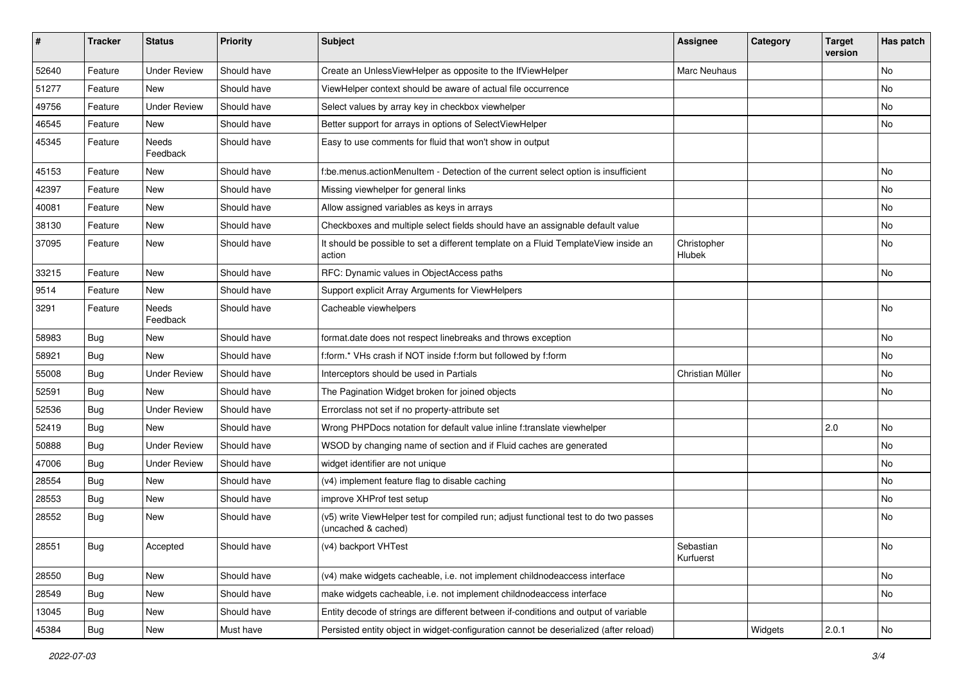| #     | <b>Tracker</b> | <b>Status</b>       | <b>Priority</b> | Subject                                                                                                     | <b>Assignee</b>        | Category | <b>Target</b><br>version | Has patch     |
|-------|----------------|---------------------|-----------------|-------------------------------------------------------------------------------------------------------------|------------------------|----------|--------------------------|---------------|
| 52640 | Feature        | <b>Under Review</b> | Should have     | Create an UnlessViewHelper as opposite to the IfViewHelper                                                  | Marc Neuhaus           |          |                          | <b>No</b>     |
| 51277 | Feature        | New                 | Should have     | ViewHelper context should be aware of actual file occurrence                                                |                        |          |                          | No            |
| 49756 | Feature        | <b>Under Review</b> | Should have     | Select values by array key in checkbox viewhelper                                                           |                        |          |                          | No            |
| 46545 | Feature        | <b>New</b>          | Should have     | Better support for arrays in options of SelectViewHelper                                                    |                        |          |                          | No            |
| 45345 | Feature        | Needs<br>Feedback   | Should have     | Easy to use comments for fluid that won't show in output                                                    |                        |          |                          |               |
| 45153 | Feature        | New                 | Should have     | f:be.menus.actionMenuItem - Detection of the current select option is insufficient                          |                        |          |                          | No            |
| 42397 | Feature        | New                 | Should have     | Missing viewhelper for general links                                                                        |                        |          |                          | No            |
| 40081 | Feature        | <b>New</b>          | Should have     | Allow assigned variables as keys in arrays                                                                  |                        |          |                          | No            |
| 38130 | Feature        | New                 | Should have     | Checkboxes and multiple select fields should have an assignable default value                               |                        |          |                          | No            |
| 37095 | Feature        | New                 | Should have     | It should be possible to set a different template on a Fluid TemplateView inside an<br>action               | Christopher<br>Hlubek  |          |                          | <b>No</b>     |
| 33215 | Feature        | <b>New</b>          | Should have     | RFC: Dynamic values in ObjectAccess paths                                                                   |                        |          |                          | No            |
| 9514  | Feature        | New                 | Should have     | Support explicit Array Arguments for ViewHelpers                                                            |                        |          |                          |               |
| 3291  | Feature        | Needs<br>Feedback   | Should have     | Cacheable viewhelpers                                                                                       |                        |          |                          | <b>No</b>     |
| 58983 | Bug            | <b>New</b>          | Should have     | format.date does not respect linebreaks and throws exception                                                |                        |          |                          | No            |
| 58921 | <b>Bug</b>     | New                 | Should have     | f:form.* VHs crash if NOT inside f:form but followed by f:form                                              |                        |          |                          | No            |
| 55008 | Bug            | <b>Under Review</b> | Should have     | Interceptors should be used in Partials                                                                     | Christian Müller       |          |                          | No            |
| 52591 | <b>Bug</b>     | <b>New</b>          | Should have     | The Pagination Widget broken for joined objects                                                             |                        |          |                          | No            |
| 52536 | Bug            | <b>Under Review</b> | Should have     | Errorclass not set if no property-attribute set                                                             |                        |          |                          |               |
| 52419 | Bug            | New                 | Should have     | Wrong PHPDocs notation for default value inline f:translate viewhelper                                      |                        |          | 2.0                      | No            |
| 50888 | <b>Bug</b>     | <b>Under Review</b> | Should have     | WSOD by changing name of section and if Fluid caches are generated                                          |                        |          |                          | No            |
| 47006 | <b>Bug</b>     | <b>Under Review</b> | Should have     | widget identifier are not unique                                                                            |                        |          |                          | No            |
| 28554 | Bug            | <b>New</b>          | Should have     | (v4) implement feature flag to disable caching                                                              |                        |          |                          | No            |
| 28553 | <b>Bug</b>     | New                 | Should have     | improve XHProf test setup                                                                                   |                        |          |                          | No            |
| 28552 | <b>Bug</b>     | New                 | Should have     | (v5) write ViewHelper test for compiled run; adjust functional test to do two passes<br>(uncached & cached) |                        |          |                          | No            |
| 28551 | <b>Bug</b>     | Accepted            | Should have     | (v4) backport VHTest                                                                                        | Sebastian<br>Kurfuerst |          |                          | <b>NO</b>     |
| 28550 | Bug            | New                 | Should have     | (v4) make widgets cacheable, i.e. not implement childnodeaccess interface                                   |                        |          |                          | No            |
| 28549 | <b>Bug</b>     | New                 | Should have     | make widgets cacheable, i.e. not implement childnodeaccess interface                                        |                        |          |                          | No            |
| 13045 | Bug            | New                 | Should have     | Entity decode of strings are different between if-conditions and output of variable                         |                        |          |                          |               |
| 45384 | Bug            | New                 | Must have       | Persisted entity object in widget-configuration cannot be deserialized (after reload)                       |                        | Widgets  | 2.0.1                    | $\mathsf{No}$ |